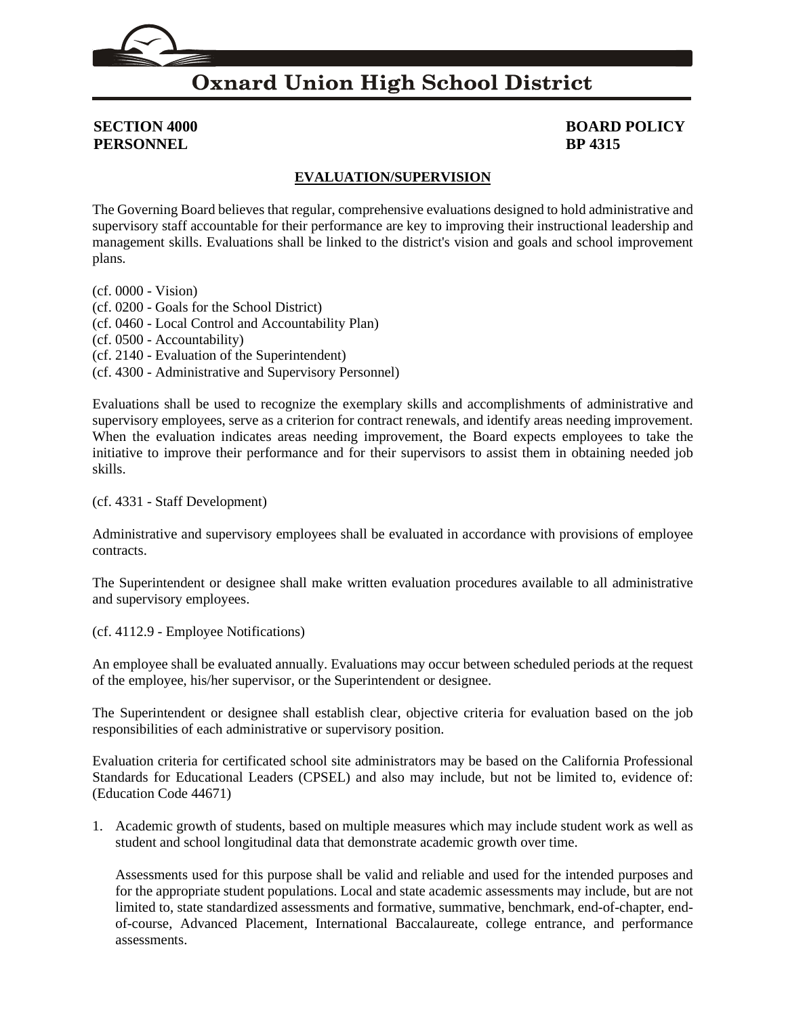### **Oxnard Union High School District**

## **PERSONNEL BP 4315**

# **SECTION 4000 BOARD POLICY**

### **EVALUATION/SUPERVISION**

The Governing Board believes that regular, comprehensive evaluations designed to hold administrative and supervisory staff accountable for their performance are key to improving their instructional leadership and management skills. Evaluations shall be linked to the district's vision and goals and school improvement plans.

(cf[. 0000](http://gamutonline.net/displayPolicy/368015/4) - Vision) (cf[. 0200](http://gamutonline.net/displayPolicy/909473/4) - Goals for the School District) (cf[. 0460](http://gamutonline.net/displayPolicy/857369/4) - Local Control and Accountability Plan) (cf[. 0500](http://gamutonline.net/displayPolicy/171712/4) - Accountability) (cf[. 2140](http://gamutonline.net/displayPolicy/244936/4) - Evaluation of the Superintendent) (cf[. 4300](http://gamutonline.net/displayPolicy/315741/4) - Administrative and Supervisory Personnel)

Evaluations shall be used to recognize the exemplary skills and accomplishments of administrative and supervisory employees, serve as a criterion for contract renewals, and identify areas needing improvement. When the evaluation indicates areas needing improvement, the Board expects employees to take the initiative to improve their performance and for their supervisors to assist them in obtaining needed job skills.

### (cf[. 4331](http://gamutonline.net/displayPolicy/171627/4) - Staff Development)

Administrative and supervisory employees shall be evaluated in accordance with provisions of employee contracts.

The Superintendent or designee shall make written evaluation procedures available to all administrative and supervisory employees.

(cf[. 4112.9](http://gamutonline.net/displayPolicy/929964/4) - Employee Notifications)

An employee shall be evaluated annually. Evaluations may occur between scheduled periods at the request of the employee, his/her supervisor, or the Superintendent or designee.

The Superintendent or designee shall establish clear, objective criteria for evaluation based on the job responsibilities of each administrative or supervisory position.

Evaluation criteria for certificated school site administrators may be based on the California Professional Standards for Educational Leaders (CPSEL) and also may include, but not be limited to, evidence of: (Education Code [44671\)](http://gamutonline.net/displayPolicy/807560/4)

1. Academic growth of students, based on multiple measures which may include student work as well as student and school longitudinal data that demonstrate academic growth over time.

Assessments used for this purpose shall be valid and reliable and used for the intended purposes and for the appropriate student populations. Local and state academic assessments may include, but are not limited to, state standardized assessments and formative, summative, benchmark, end-of-chapter, endof-course, Advanced Placement, International Baccalaureate, college entrance, and performance assessments.